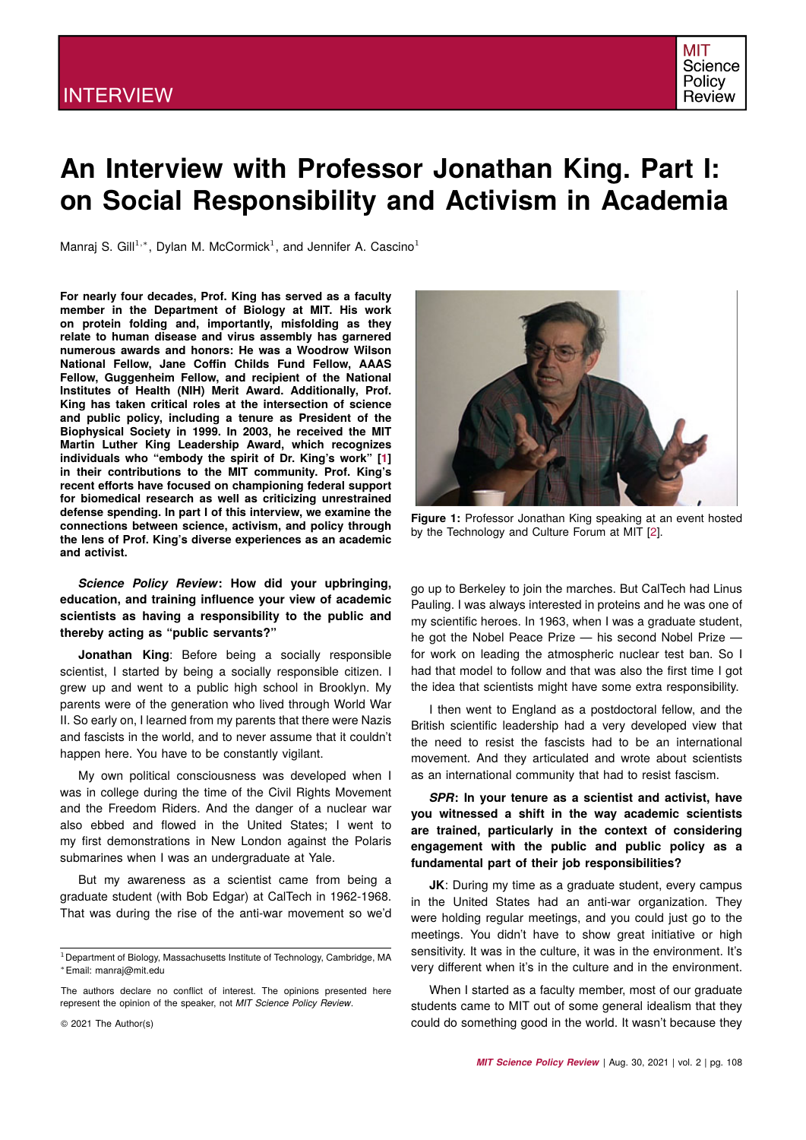

# **An Interview with Professor Jonathan King. Part I: on Social Responsibility and Activism in Academia**

Manraj S. Gill<sup>1,\*</sup>, Dylan M. McCormick<sup>1</sup>, and Jennifer A. Cascino<sup>1</sup>

**For nearly four decades, Prof. King has served as a faculty member in the Department of Biology at MIT. His work on protein folding and, importantly, misfolding as they relate to human disease and virus assembly has garnered numerous awards and honors: He was a Woodrow Wilson National Fellow, Jane Coffin Childs Fund Fellow, AAAS Fellow, Guggenheim Fellow, and recipient of the National Institutes of Health (NIH) Merit Award. Additionally, Prof. King has taken critical roles at the intersection of science and public policy, including a tenure as President of the Biophysical Society in 1999. In 2003, he received the MIT Martin Luther King Leadership Award, which recognizes individuals who "embody the spirit of Dr. King's work" [\[1\]](#page-3-0) in their contributions to the MIT community. Prof. King's recent efforts have focused on championing federal support for biomedical research as well as criticizing unrestrained defense spending. In part I of this interview, we examine the connections between science, activism, and policy through the lens of Prof. King's diverse experiences as an academic and activist.**

## *Science Policy Review***: How did your upbringing, education, and training influence your view of academic scientists as having a responsibility to the public and thereby acting as "public servants?"**

**Jonathan King**: Before being a socially responsible scientist, I started by being a socially responsible citizen. I grew up and went to a public high school in Brooklyn. My parents were of the generation who lived through World War II. So early on, I learned from my parents that there were Nazis and fascists in the world, and to never assume that it couldn't happen here. You have to be constantly vigilant.

My own political consciousness was developed when I was in college during the time of the Civil Rights Movement and the Freedom Riders. And the danger of a nuclear war also ebbed and flowed in the United States; I went to my first demonstrations in New London against the Polaris submarines when I was an undergraduate at Yale.

But my awareness as a scientist came from being a graduate student (with Bob Edgar) at CalTech in 1962-1968. That was during the rise of the anti-war movement so we'd



**Figure 1:** Professor Jonathan King speaking at an event hosted by the Technology and Culture Forum at MIT [\[2\]](#page-3-1).

go up to Berkeley to join the marches. But CalTech had Linus Pauling. I was always interested in proteins and he was one of my scientific heroes. In 1963, when I was a graduate student, he got the Nobel Peace Prize — his second Nobel Prize for work on leading the atmospheric nuclear test ban. So I had that model to follow and that was also the first time I got the idea that scientists might have some extra responsibility.

I then went to England as a postdoctoral fellow, and the British scientific leadership had a very developed view that the need to resist the fascists had to be an international movement. And they articulated and wrote about scientists as an international community that had to resist fascism.

*SPR***: In your tenure as a scientist and activist, have you witnessed a shift in the way academic scientists are trained, particularly in the context of considering engagement with the public and public policy as a fundamental part of their job responsibilities?**

**JK**: During my time as a graduate student, every campus in the United States had an anti-war organization. They were holding regular meetings, and you could just go to the meetings. You didn't have to show great initiative or high sensitivity. It was in the culture, it was in the environment. It's very different when it's in the culture and in the environment.

When I started as a faculty member, most of our graduate students came to MIT out of some general idealism that they could do something good in the world. It wasn't because they

<sup>&</sup>lt;sup>1</sup> Department of Biology, Massachusetts Institute of Technology, Cambridge, MA <sup>∗</sup>Email: manraj@mit.edu

The authors declare no conflict of interest. The opinions presented here represent the opinion of the speaker, not *MIT Science Policy Review*.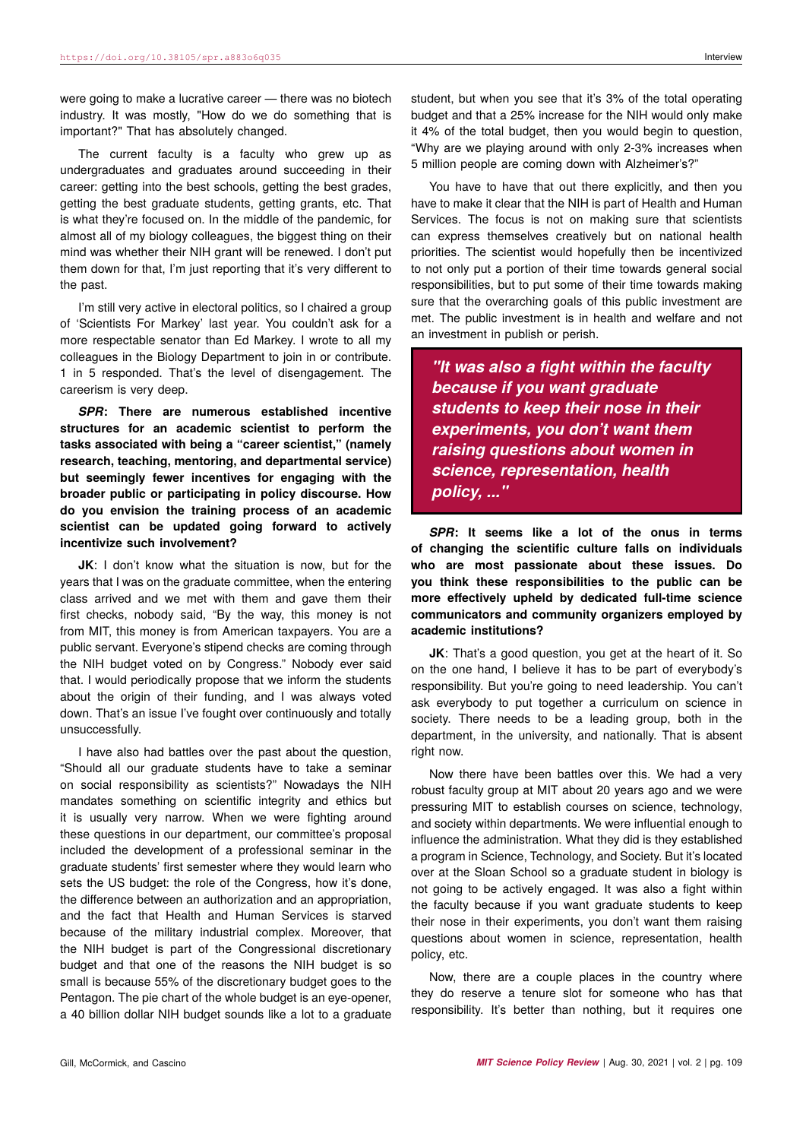were going to make a lucrative career — there was no biotech industry. It was mostly, "How do we do something that is important?" That has absolutely changed.

The current faculty is a faculty who grew up as undergraduates and graduates around succeeding in their career: getting into the best schools, getting the best grades, getting the best graduate students, getting grants, etc. That is what they're focused on. In the middle of the pandemic, for almost all of my biology colleagues, the biggest thing on their mind was whether their NIH grant will be renewed. I don't put them down for that, I'm just reporting that it's very different to the past.

I'm still very active in electoral politics, so I chaired a group of 'Scientists For Markey' last year. You couldn't ask for a more respectable senator than Ed Markey. I wrote to all my colleagues in the Biology Department to join in or contribute. 1 in 5 responded. That's the level of disengagement. The careerism is very deep.

*SPR***: There are numerous established incentive structures for an academic scientist to perform the tasks associated with being a "career scientist," (namely research, teaching, mentoring, and departmental service) but seemingly fewer incentives for engaging with the broader public or participating in policy discourse. How do you envision the training process of an academic scientist can be updated going forward to actively incentivize such involvement?**

**JK**: I don't know what the situation is now, but for the years that I was on the graduate committee, when the entering class arrived and we met with them and gave them their first checks, nobody said, "By the way, this money is not from MIT, this money is from American taxpayers. You are a public servant. Everyone's stipend checks are coming through the NIH budget voted on by Congress." Nobody ever said that. I would periodically propose that we inform the students about the origin of their funding, and I was always voted down. That's an issue I've fought over continuously and totally unsuccessfully.

I have also had battles over the past about the question, "Should all our graduate students have to take a seminar on social responsibility as scientists?" Nowadays the NIH mandates something on scientific integrity and ethics but it is usually very narrow. When we were fighting around these questions in our department, our committee's proposal included the development of a professional seminar in the graduate students' first semester where they would learn who sets the US budget: the role of the Congress, how it's done, the difference between an authorization and an appropriation, and the fact that Health and Human Services is starved because of the military industrial complex. Moreover, that the NIH budget is part of the Congressional discretionary budget and that one of the reasons the NIH budget is so small is because 55% of the discretionary budget goes to the Pentagon. The pie chart of the whole budget is an eye-opener, a 40 billion dollar NIH budget sounds like a lot to a graduate

student, but when you see that it's 3% of the total operating budget and that a 25% increase for the NIH would only make it 4% of the total budget, then you would begin to question, "Why are we playing around with only 2-3% increases when 5 million people are coming down with Alzheimer's?"

You have to have that out there explicitly, and then you have to make it clear that the NIH is part of Health and Human Services. The focus is not on making sure that scientists can express themselves creatively but on national health priorities. The scientist would hopefully then be incentivized to not only put a portion of their time towards general social responsibilities, but to put some of their time towards making sure that the overarching goals of this public investment are met. The public investment is in health and welfare and not an investment in publish or perish.

*"It was also a fight within the faculty because if you want graduate students to keep their nose in their experiments, you don't want them raising questions about women in science, representation, health policy, ..."*

*SPR***: It seems like a lot of the onus in terms of changing the scientific culture falls on individuals who are most passionate about these issues. Do you think these responsibilities to the public can be more effectively upheld by dedicated full-time science communicators and community organizers employed by academic institutions?**

**JK**: That's a good question, you get at the heart of it. So on the one hand, I believe it has to be part of everybody's responsibility. But you're going to need leadership. You can't ask everybody to put together a curriculum on science in society. There needs to be a leading group, both in the department, in the university, and nationally. That is absent right now.

Now there have been battles over this. We had a very robust faculty group at MIT about 20 years ago and we were pressuring MIT to establish courses on science, technology, and society within departments. We were influential enough to influence the administration. What they did is they established a program in Science, Technology, and Society. But it's located over at the Sloan School so a graduate student in biology is not going to be actively engaged. It was also a fight within the faculty because if you want graduate students to keep their nose in their experiments, you don't want them raising questions about women in science, representation, health policy, etc.

Now, there are a couple places in the country where they do reserve a tenure slot for someone who has that responsibility. It's better than nothing, but it requires one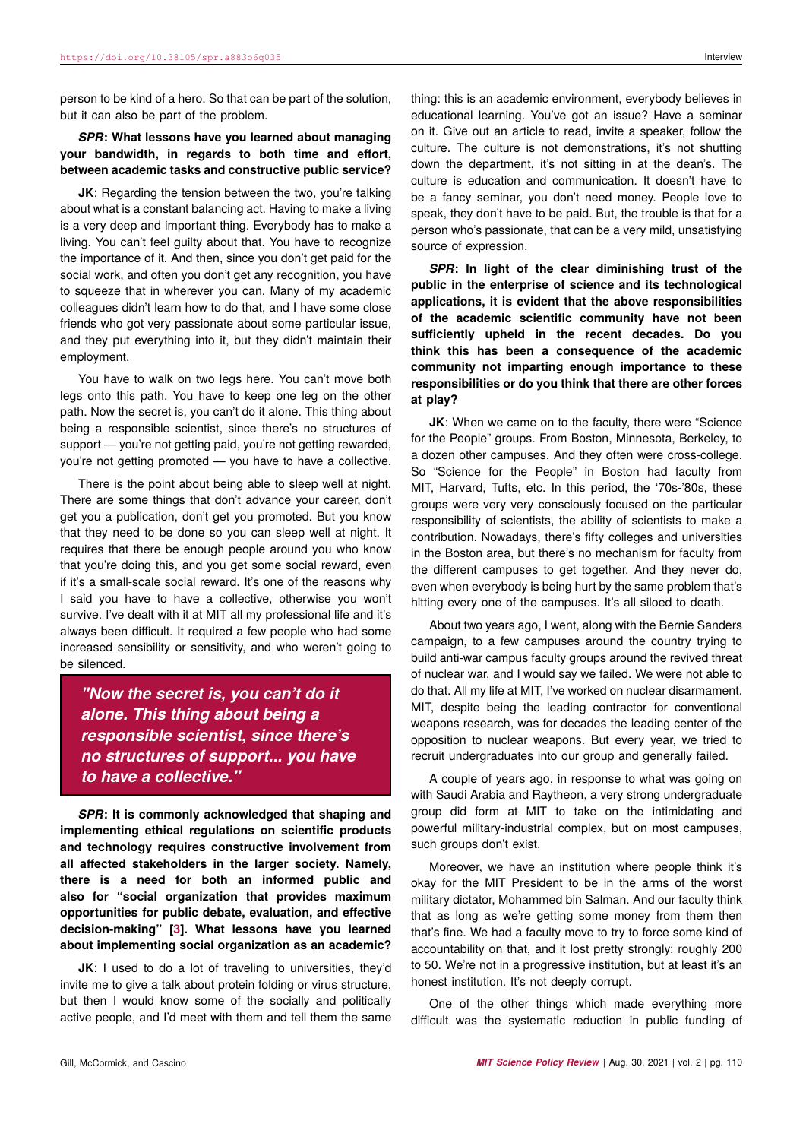person to be kind of a hero. So that can be part of the solution, but it can also be part of the problem.

## *SPR***: What lessons have you learned about managing your bandwidth, in regards to both time and effort, between academic tasks and constructive public service?**

**JK**: Regarding the tension between the two, you're talking about what is a constant balancing act. Having to make a living is a very deep and important thing. Everybody has to make a living. You can't feel guilty about that. You have to recognize the importance of it. And then, since you don't get paid for the social work, and often you don't get any recognition, you have to squeeze that in wherever you can. Many of my academic colleagues didn't learn how to do that, and I have some close friends who got very passionate about some particular issue, and they put everything into it, but they didn't maintain their employment.

You have to walk on two legs here. You can't move both legs onto this path. You have to keep one leg on the other path. Now the secret is, you can't do it alone. This thing about being a responsible scientist, since there's no structures of support — you're not getting paid, you're not getting rewarded. you're not getting promoted — you have to have a collective.

There is the point about being able to sleep well at night. There are some things that don't advance your career, don't get you a publication, don't get you promoted. But you know that they need to be done so you can sleep well at night. It requires that there be enough people around you who know that you're doing this, and you get some social reward, even if it's a small-scale social reward. It's one of the reasons why I said you have to have a collective, otherwise you won't survive. I've dealt with it at MIT all my professional life and it's always been difficult. It required a few people who had some increased sensibility or sensitivity, and who weren't going to be silenced.

*"Now the secret is, you can't do it alone. This thing about being a responsible scientist, since there's no structures of support... you have to have a collective."*

*SPR***: It is commonly acknowledged that shaping and implementing ethical regulations on scientific products and technology requires constructive involvement from all affected stakeholders in the larger society. Namely, there is a need for both an informed public and also for "social organization that provides maximum opportunities for public debate, evaluation, and effective decision-making" [\[3\]](#page-3-2). What lessons have you learned about implementing social organization as an academic?**

**JK**: I used to do a lot of traveling to universities, they'd invite me to give a talk about protein folding or virus structure, but then I would know some of the socially and politically active people, and I'd meet with them and tell them the same thing: this is an academic environment, everybody believes in educational learning. You've got an issue? Have a seminar on it. Give out an article to read, invite a speaker, follow the culture. The culture is not demonstrations, it's not shutting down the department, it's not sitting in at the dean's. The culture is education and communication. It doesn't have to be a fancy seminar, you don't need money. People love to speak, they don't have to be paid. But, the trouble is that for a person who's passionate, that can be a very mild, unsatisfying source of expression.

*SPR***: In light of the clear diminishing trust of the public in the enterprise of science and its technological applications, it is evident that the above responsibilities of the academic scientific community have not been sufficiently upheld in the recent decades. Do you think this has been a consequence of the academic community not imparting enough importance to these responsibilities or do you think that there are other forces at play?**

**JK**: When we came on to the faculty, there were "Science for the People" groups. From Boston, Minnesota, Berkeley, to a dozen other campuses. And they often were cross-college. So "Science for the People" in Boston had faculty from MIT, Harvard, Tufts, etc. In this period, the '70s-'80s, these groups were very very consciously focused on the particular responsibility of scientists, the ability of scientists to make a contribution. Nowadays, there's fifty colleges and universities in the Boston area, but there's no mechanism for faculty from the different campuses to get together. And they never do, even when everybody is being hurt by the same problem that's hitting every one of the campuses. It's all siloed to death.

About two years ago, I went, along with the Bernie Sanders campaign, to a few campuses around the country trying to build anti-war campus faculty groups around the revived threat of nuclear war, and I would say we failed. We were not able to do that. All my life at MIT, I've worked on nuclear disarmament. MIT, despite being the leading contractor for conventional weapons research, was for decades the leading center of the opposition to nuclear weapons. But every year, we tried to recruit undergraduates into our group and generally failed.

A couple of years ago, in response to what was going on with Saudi Arabia and Raytheon, a very strong undergraduate group did form at MIT to take on the intimidating and powerful military-industrial complex, but on most campuses, such groups don't exist.

Moreover, we have an institution where people think it's okay for the MIT President to be in the arms of the worst military dictator, Mohammed bin Salman. And our faculty think that as long as we're getting some money from them then that's fine. We had a faculty move to try to force some kind of accountability on that, and it lost pretty strongly: roughly 200 to 50. We're not in a progressive institution, but at least it's an honest institution. It's not deeply corrupt.

One of the other things which made everything more difficult was the systematic reduction in public funding of